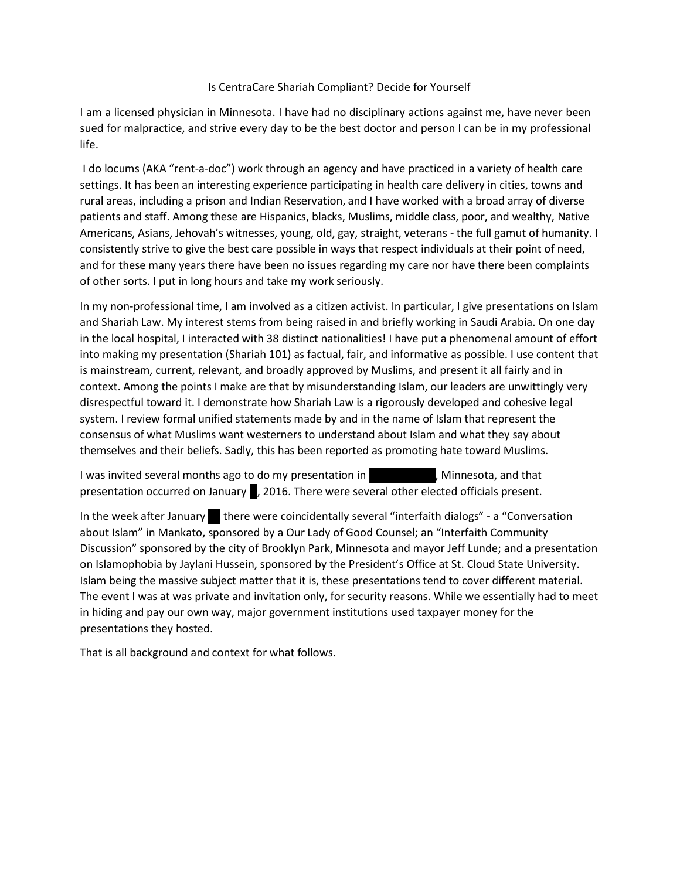## Is CentraCare Shariah Compliant? Decide for Yourself

I am a licensed physician in Minnesota. I have had no disciplinary actions against me, have never been sued for malpractice, and strive every day to be the best doctor and person I can be in my professional life.

I do locums (AKA "rent-a-doc") work through an agency and have practiced in a variety of health care settings. It has been an interesting experience participating in health care delivery in cities, towns and rural areas, including a prison and Indian Reservation, and I have worked with a broad array of diverse patients and staff. Among these are Hispanics, blacks, Muslims, middle class, poor, and wealthy, Native Americans, Asians, Jehovah's witnesses, young, old, gay, straight, veterans - the full gamut of humanity. I consistently strive to give the best care possible in ways that respect individuals at their point of need, and for these many years there have been no issues regarding my care nor have there been complaints of other sorts. I put in long hours and take my work seriously.

In my non-professional time, I am involved as a citizen activist. In particular, I give presentations on Islam and Shariah Law. My interest stems from being raised in and briefly working in Saudi Arabia. On one day in the local hospital, I interacted with 38 distinct nationalities! I have put a phenomenal amount of effort into making my presentation (Shariah 101) as factual, fair, and informative as possible. I use content that is mainstream, current, relevant, and broadly approved by Muslims, and present it all fairly and in context. Among the points I make are that by misunderstanding Islam, our leaders are unwittingly very disrespectful toward it. I demonstrate how Shariah Law is a rigorously developed and cohesive legal system. I review formal unified statements made by and in the name of Islam that represent the consensus of what Muslims want westerners to understand about Islam and what they say about themselves and their beliefs. Sadly, this has been reported as promoting hate toward Muslims.

I was invited several months ago to do my presentation in Theorem 3. Minnesota, and that presentation occurred on January , 2016. There were several other elected officials present.

In the week after January there were coincidentally several "interfaith dialogs" - a "Conversation about Islam" in Mankato, sponsored by a Our Lady of Good Counsel; an "Interfaith Community Discussion" sponsored by the city of Brooklyn Park, Minnesota and mayor Jeff Lunde; and a presentation on Islamophobia by Jaylani Hussein, sponsored by the President's Office at St. Cloud State University. Islam being the massive subject matter that it is, these presentations tend to cover different material. The event I was at was private and invitation only, for security reasons. While we essentially had to meet in hiding and pay our own way, major government institutions used taxpayer money for the presentations they hosted.

That is all background and context for what follows.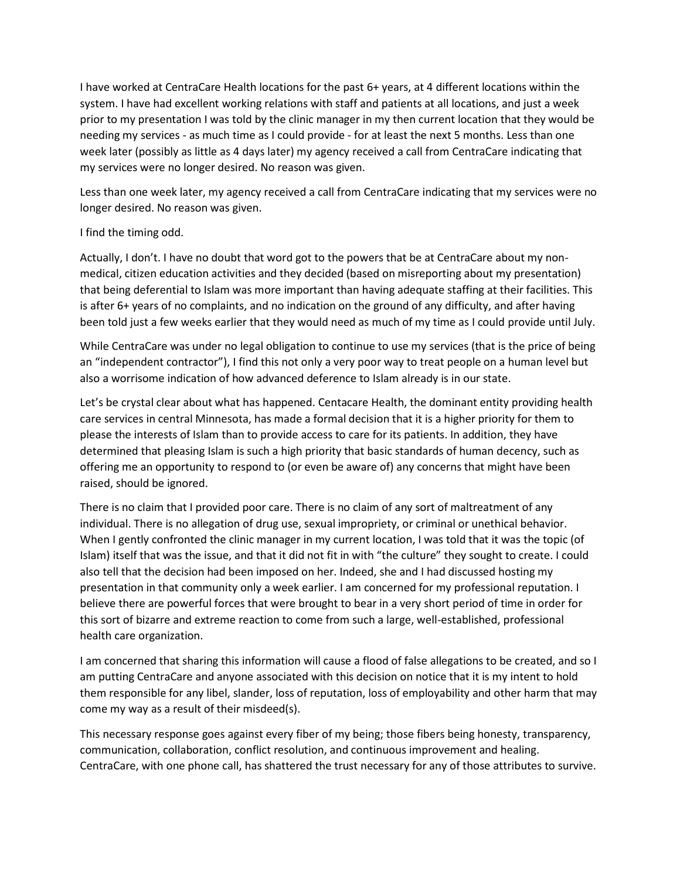I have worked at CentraCare Health locations for the past 6+ years, at 4 different locations within the system. I have had excellent working relations with staff and patients at all locations, and just a week prior to my presentation I was told by the clinic manager in my then current location that they would be needing my services - as much time as I could provide - for at least the next 5 months. Less than one week later (possibly as little as 4 days later) my agency received a call from CentraCare indicating that my services were no longer desired. No reason was given.

Less than one week later, my agency received a call from CentraCare indicating that my services were no longer desired. No reason was given.

## I find the timing odd.

Actually, I don't. I have no doubt that word got to the powers that be at CentraCare about my nonmedical, citizen education activities and they decided (based on misreporting about my presentation) that being deferential to Islam was more important than having adequate staffing at their facilities. This is after 6+ years of no complaints, and no indication on the ground of any difficulty, and after having been told just a few weeks earlier that they would need as much of my time as I could provide until July.

While CentraCare was under no legal obligation to continue to use my services (that is the price of being an "independent contractor"), I find this not only a very poor way to treat people on a human level but also a worrisome indication of how advanced deference to Islam already is in our state.

Let's be crystal clear about what has happened. Centacare Health, the dominant entity providing health care services in central Minnesota, has made a formal decision that it is a higher priority for them to please the interests of Islam than to provide access to care for its patients. In addition, they have determined that pleasing Islam is such a high priority that basic standards of human decency, such as offering me an opportunity to respond to (or even be aware of) any concerns that might have been raised, should be ignored.

There is no claim that I provided poor care. There is no claim of any sort of maltreatment of any individual. There is no allegation of drug use, sexual impropriety, or criminal or unethical behavior. When I gently confronted the clinic manager in my current location, I was told that it was the topic (of Islam) itself that was the issue, and that it did not fit in with "the culture" they sought to create. I could also tell that the decision had been imposed on her. Indeed, she and I had discussed hosting my presentation in that community only a week earlier. I am concerned for my professional reputation. I believe there are powerful forces that were brought to bear in a very short period of time in order for this sort of bizarre and extreme reaction to come from such a large, well-established, professional health care organization.

I am concerned that sharing this information will cause a flood of false allegations to be created, and so I am putting CentraCare and anyone associated with this decision on notice that it is my intent to hold them responsible for any libel, slander, loss of reputation, loss of employability and other harm that may come my way as a result of their misdeed(s).

This necessary response goes against every fiber of my being; those fibers being honesty, transparency, communication, collaboration, conflict resolution, and continuous improvement and healing. CentraCare, with one phone call, has shattered the trust necessary for any of those attributes to survive.